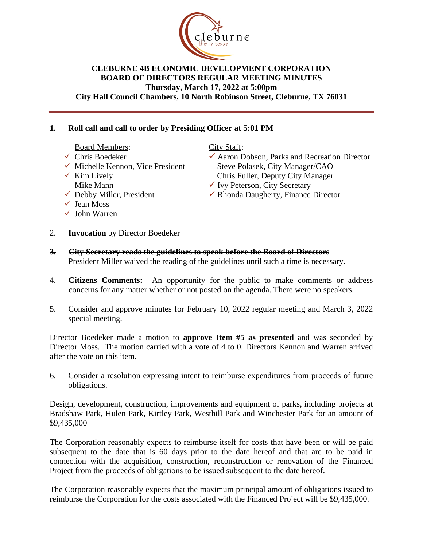

#### **CLEBURNE 4B ECONOMIC DEVELOPMENT CORPORATION BOARD OF DIRECTORS REGULAR MEETING MINUTES Thursday, March 17, 2022 at 5:00pm City Hall Council Chambers, 10 North Robinson Street, Cleburne, TX 76031**

# **1. Roll call and call to order by Presiding Officer at 5:01 PM**

Board Members:

- $\checkmark$  Chris Boedeker
- $\checkmark$  Michelle Kennon, Vice President
- $\checkmark$  Kim Lively Mike Mann
- $\checkmark$  Debby Miller, President
- $\checkmark$  Jean Moss
- $\checkmark$  John Warren

City Staff:

- $\checkmark$  Aaron Dobson, Parks and Recreation Director Steve Polasek, City Manager/CAO Chris Fuller, Deputy City Manager
- $\checkmark$  Ivy Peterson, City Secretary
- $\checkmark$  Rhonda Daugherty, Finance Director
- 2. **Invocation** by Director Boedeker
- **3. City Secretary reads the guidelines to speak before the Board of Directors** President Miller waived the reading of the guidelines until such a time is necessary.
- 4. **Citizens Comments:** An opportunity for the public to make comments or address concerns for any matter whether or not posted on the agenda. There were no speakers.
- 5. Consider and approve minutes for February 10, 2022 regular meeting and March 3, 2022 special meeting.

Director Boedeker made a motion to **approve Item #5 as presented** and was seconded by Director Moss. The motion carried with a vote of 4 to 0. Directors Kennon and Warren arrived after the vote on this item.

6. Consider a resolution expressing intent to reimburse expenditures from proceeds of future obligations.

Design, development, construction, improvements and equipment of parks, including projects at Bradshaw Park, Hulen Park, Kirtley Park, Westhill Park and Winchester Park for an amount of \$9,435,000

The Corporation reasonably expects to reimburse itself for costs that have been or will be paid subsequent to the date that is 60 days prior to the date hereof and that are to be paid in connection with the acquisition, construction, reconstruction or renovation of the Financed Project from the proceeds of obligations to be issued subsequent to the date hereof.

The Corporation reasonably expects that the maximum principal amount of obligations issued to reimburse the Corporation for the costs associated with the Financed Project will be \$9,435,000.